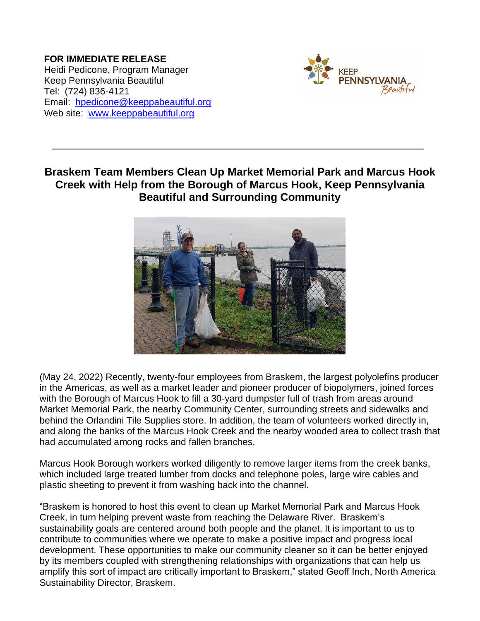**FOR IMMEDIATE RELEASE** Heidi Pedicone, Program Manager Keep Pennsylvania Beautiful Tel: (724) 836-4121 Email: [hpedicone@keeppabeautiful.org](mailto:hpedicone@keeppabeautiful.org) Web site: [www.keeppabeautiful.org](http://www.keeppabeautiful.org/)



## **Braskem Team Members Clean Up Market Memorial Park and Marcus Hook Creek with Help from the Borough of Marcus Hook, Keep Pennsylvania Beautiful and Surrounding Community**



(May 24, 2022) Recently, twenty-four employees from Braskem, the largest polyolefins producer in the Americas, as well as a market leader and pioneer producer of biopolymers, joined forces with the Borough of Marcus Hook to fill a 30-yard dumpster full of trash from areas around Market Memorial Park, the nearby Community Center, surrounding streets and sidewalks and behind the Orlandini Tile Supplies store. In addition, the team of volunteers worked directly in, and along the banks of the Marcus Hook Creek and the nearby wooded area to collect trash that had accumulated among rocks and fallen branches.

Marcus Hook Borough workers worked diligently to remove larger items from the creek banks, which included large treated lumber from docks and telephone poles, large wire cables and plastic sheeting to prevent it from washing back into the channel.

"Braskem is honored to host this event to clean up Market Memorial Park and Marcus Hook Creek, in turn helping prevent waste from reaching the Delaware River. Braskem's sustainability goals are centered around both people and the planet. It is important to us to contribute to communities where we operate to make a positive impact and progress local development. These opportunities to make our community cleaner so it can be better enjoyed by its members coupled with strengthening relationships with organizations that can help us amplify this sort of impact are critically important to Braskem," stated Geoff Inch, North America Sustainability Director, Braskem.